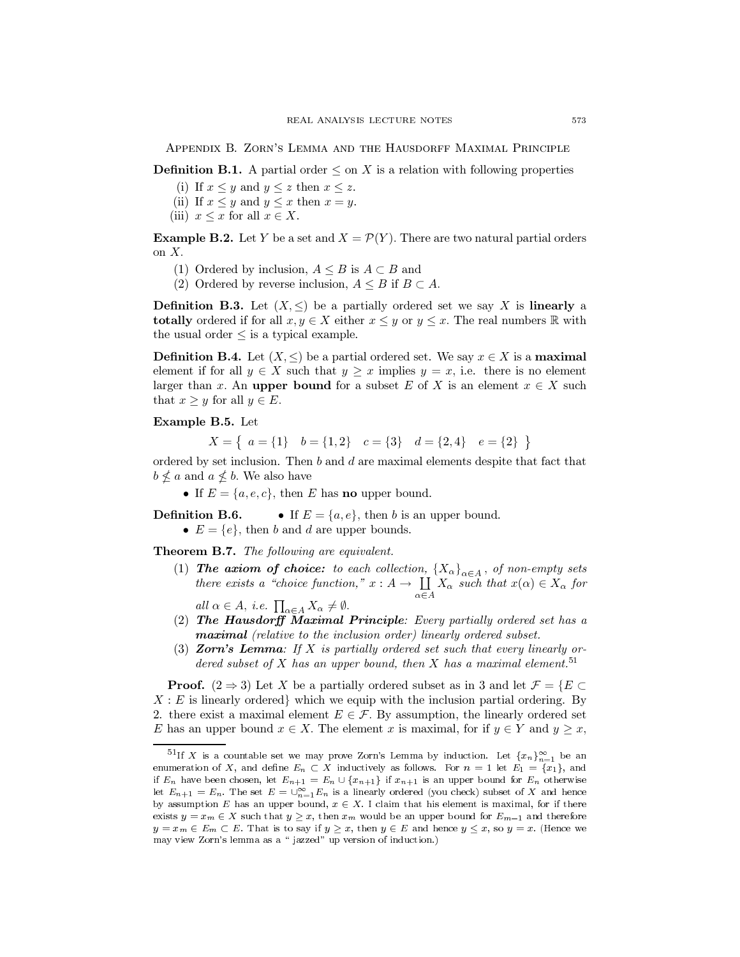APPENDIX B. ZORN'S LEMMA AND THE HAUSDORFF MAXIMAL PRINCIPLE

**Definition B.1.** A partial order  $\leq$  on X is a relation with following properties

- (i) If  $x \leq y$  and  $y \leq z$  then  $x \leq z$ .
- (ii) If  $x \leq y$  and  $y \leq x$  then  $x = y$ .
- (iii)  $x \leq x$  for all  $x \in X$ .

**Example B.2.** Let Y be a set and  $X = \mathcal{P}(Y)$ . There are two natural partial orders on  $X$ .

- (1) Ordered by inclusion,  $A \leq B$  is  $A \subset B$  and
- (2) Ordered by reverse inclusion,  $A \leq B$  if  $B \subset A$ .

**Definition B.3.** Let  $(X, \leq)$  be a partially ordered set we say X is linearly a **totally** ordered if for all  $x, y \in X$  either  $x \leq y$  or  $y \leq x$ . The real numbers  $\mathbb{R}$  with the usual order  $\leq$  is a typical example.

**Definition B.4.** Let  $(X, \leq)$  be a partial ordered set. We say  $x \in X$  is a maximal element if for all  $y \in X$  such that  $y \geq x$  implies  $y = x$ , i.e. there is no element larger than x. An upper bound for a subset E of X is an element  $x \in X$  such that  $x \geq y$  for all  $y \in E$ .

## Example B.5. Let

$$
X = \{ a = \{1\} \mid b = \{1, 2\} \mid c = \{3\} \mid d = \{2, 4\} \mid e = \{2\} \}
$$

ordered by set inclusion. Then  $b$  and  $d$  are maximal elements despite that fact that  $b \nleq a$  and  $a \nleq b$ . We also have

• If  $E = \{a, e, c\}$ , then E has **no** upper bound.

**Definition B.6.** • If  $E = \{a, e\}$ , then b is an upper bound. •  $E = \{e\}$ , then b and d are upper bounds.

Theorem B.7. The following are equivalent.

(1) The axiom of choice: to each collection,  $\{X_{\alpha}\}_{{\alpha}\in A}$ , of non-empty sets there exists a "choice function,"  $x : A \to \coprod_{\alpha \in A} X_{\alpha}$  such that  $x(\alpha) \in X_{\alpha}$  for

all  $\alpha \in A$ , *i.e.*  $\prod_{\alpha \in A} X_{\alpha} \neq \emptyset$ .

- (2) The Hausdorff Maximal Principle: Every partially ordered set has a maximal (relative to the inclusion order) linearly ordered subset.
- (3) **Zorn's Lemma**: If X is partially ordered set such that every linearly ordered subset of X has an upper bound, then X has a maximal element.<sup>51</sup>

**Proof.**  $(2 \Rightarrow 3)$  Let X be a partially ordered subset as in 3 and let  $\mathcal{F} = \{E \subset \mathcal{F} \mid E \subseteq \mathcal{F}\}$  $X: E$  is linearly ordered, which we equip with the inclusion partial ordering. By 2. there exist a maximal element  $E \in \mathcal{F}$ . By assumption, the linearly ordered set E has an upper bound  $x \in X$ . The element x is maximal, for if  $y \in Y$  and  $y \geq x$ ,

<sup>&</sup>lt;sup>51</sup>If X is a countable set we may prove Zorn's Lemma by induction. Let  $\{x_n\}_{n=1}^{\infty}$  be an enumeration of X, and define  $E_n \subset X$  inductively as follows. For  $n = 1$  let  $E_1 = \{x_1\}$ , and if  $E_n$  have been chosen, let  $E_{n+1} = E_n \cup \{x_{n+1}\}$  if  $x_{n+1}$  is an upper bound for  $E_n$  otherwise let  $E_{n+1} = E_n$ . The set  $E = \bigcup_{n=1}^{\infty} E_n$  is a linearly ordered (you check) subset of X and hence by assumption E has an upper bound,  $x \in X$ . I claim that his element is maximal, for if there exists  $y = x_m \in X$  such that  $y \ge x$ , then  $x_m$  would be an upper bound for  $E_{m-1}$  and therefore  $y = x_m \in E_m \subset E$ . That is to say if  $y > x$ , then  $y \in E$  and hence  $y \leq x$ , so  $y = x$ . (Hence we may view Zorn's lemma as a "jazzed" up version of induction.)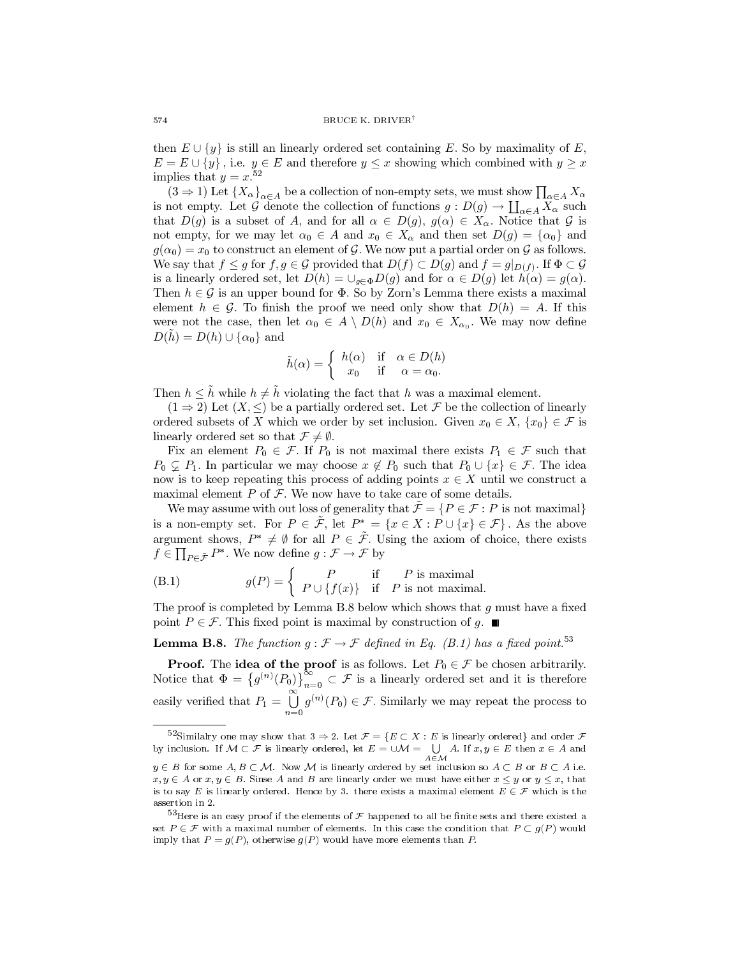then  $E \cup \{y\}$  is still an linearly ordered set containing E. So by maximality of E,  $E = E \cup \{y\}$ , i.e.  $y \in E$  and therefore  $y \leq x$  showing which combined with  $y \geq x$ implies that  $y = x^{52}$ 

 $(3 \Rightarrow 1)$  Let  $\{X_{\alpha}\}_{{\alpha \in A}}$  be a collection of non-empty sets, we must show  $\prod_{\alpha \in A} X_{\alpha}$ is not empty. Let G denote the collection of functions  $g: D(g) \to \coprod_{\alpha \in A} X_{\alpha}$  such that  $D(g)$  is a subset of A, and for all  $\alpha \in D(g)$ ,  $g(\alpha) \in X_\alpha$ . Notice that G is not empty, for we may let  $\alpha_0 \in A$  and  $x_0 \in X_\alpha$  and then set  $D(g) = {\alpha_0}$  and  $g(\alpha_0) = x_0$  to construct an element of G. We now put a partial order on G as follows. We say that  $f \leq g$  for  $f, g \in \mathcal{G}$  provided that  $D(f) \subset D(g)$  and  $f = g|_{D(f)}$ . If  $\Phi \subset \mathcal{G}$ is a linearly ordered set, let  $D(h) = \bigcup_{g \in \Phi} D(g)$  and for  $\alpha \in D(g)$  let  $h(\alpha) = g(\alpha)$ . Then  $h \in \mathcal{G}$  is an upper bound for  $\Phi$ . So by Zorn's Lemma there exists a maximal element  $h \in \mathcal{G}$ . To finish the proof we need only show that  $D(h) = A$ . If this were not the case, then let  $\alpha_0 \in A \setminus D(h)$  and  $x_0 \in X_{\alpha_0}$ . We may now define  $D(h) = D(h) \cup {\alpha_0}$  and

$$
\tilde{h}(\alpha) = \begin{cases}\nh(\alpha) & \text{if } \alpha \in D(h) \\
x_0 & \text{if } \alpha = \alpha_0.\n\end{cases}
$$

Then  $h \leq \tilde{h}$  while  $h \neq \tilde{h}$  violating the fact that h was a maximal element.

 $(1 \Rightarrow 2)$  Let  $(X, \leq)$  be a partially ordered set. Let F be the collection of linearly ordered subsets of X which we order by set inclusion. Given  $x_0 \in X$ ,  $\{x_0\} \in \mathcal{F}$  is linearly ordered set so that  $\mathcal{F} \neq \emptyset$ .

Fix an element  $P_0 \in \mathcal{F}$ . If  $P_0$  is not maximal there exists  $P_1 \in \mathcal{F}$  such that  $P_0 \subsetneq P_1$ . In particular we may choose  $x \notin P_0$  such that  $P_0 \cup \{x\} \in \mathcal{F}$ . The idea now is to keep repeating this process of adding points  $x \in X$  until we construct a maximal element  $P$  of  $\mathcal F$ . We now have to take care of some details.

We may assume with out loss of generality that  $\mathcal{F} = \{P \in \mathcal{F} : P \text{ is not maximal}\}\$ is a non-empty set. For  $P \in \tilde{\mathcal{F}}$ , let  $P^* = \{x \in X : P \cup \{x\} \in \mathcal{F}\}\)$ . As the above argument shows,  $P^* \neq \emptyset$  for all  $P \in \tilde{\mathcal{F}}$ . Using the axiom of choice, there exists  $f \in \prod_{P \in \tilde{\mathcal{F}}} P^*$ . We now define  $g : \mathcal{F} \to \mathcal{F}$  by

(B.1) 
$$
g(P) = \begin{cases} P & \text{if } P \text{ is maximal} \\ P \cup \{f(x)\} & \text{if } P \text{ is not maximal.} \end{cases}
$$

The proof is completed by Lemma B.8 below which shows that  $q$  must have a fixed point  $P \in \mathcal{F}$ . This fixed point is maximal by construction of g.  $\blacksquare$ 

**Lemma B.8.** The function  $g : \mathcal{F} \to \mathcal{F}$  defined in Eq. (B.1) has a fixed point.<sup>53</sup>

**Proof.** The **idea of the proof** is as follows. Let  $P_0 \in \mathcal{F}$  be chosen arbitrarily. Notice that  $\Phi = \{g^{(n)}(P_0)\}_{n=0}^{\infty} \subset \mathcal{F}$  is a linearly ordered set and it is therefore easily verified that  $P_1 = \bigcup_{n=1}^{\infty} g^{(n)}(P_0) \in \mathcal{F}$ . Similarly we may repeat the process to

<sup>&</sup>lt;sup>52</sup>Similalry one may show that  $3 \Rightarrow 2$ . Let  $\mathcal{F} = \{E \subset X : E$  is linearly ordered} and order  $\mathcal F$ by inclusion. If  $M \subset \mathcal{F}$  is linearly ordered, let  $E = \cup \mathcal{M} = \bigcup A$ . If  $x, y \in E$  then  $x \in A$  and  $A \in \mathcal{M}$ 

 $y \in B$  for some  $A, B \subset M$ . Now M is linearly ordered by set inclusion so  $A \subset B$  or  $B \subset A$  i.e.  $x, y \in A$  or  $x, y \in B$ . Sinse A and B are linearly order we must have either  $x \leq y$  or  $y \leq x$ , that is to say E is linearly ordered. Hence by 3. there exists a maximal element  $E \in \mathcal{F}$  which is the assertion in 2.

 $^{53}$ Here is an easy proof if the elements of  $\mathcal F$  happened to all be finite sets and there existed a set  $P \in \mathcal{F}$  with a maximal number of elements. In this case the condition that  $P \subset g(P)$  would imply that  $P = g(P)$ , otherwise  $g(P)$  would have more elements than P.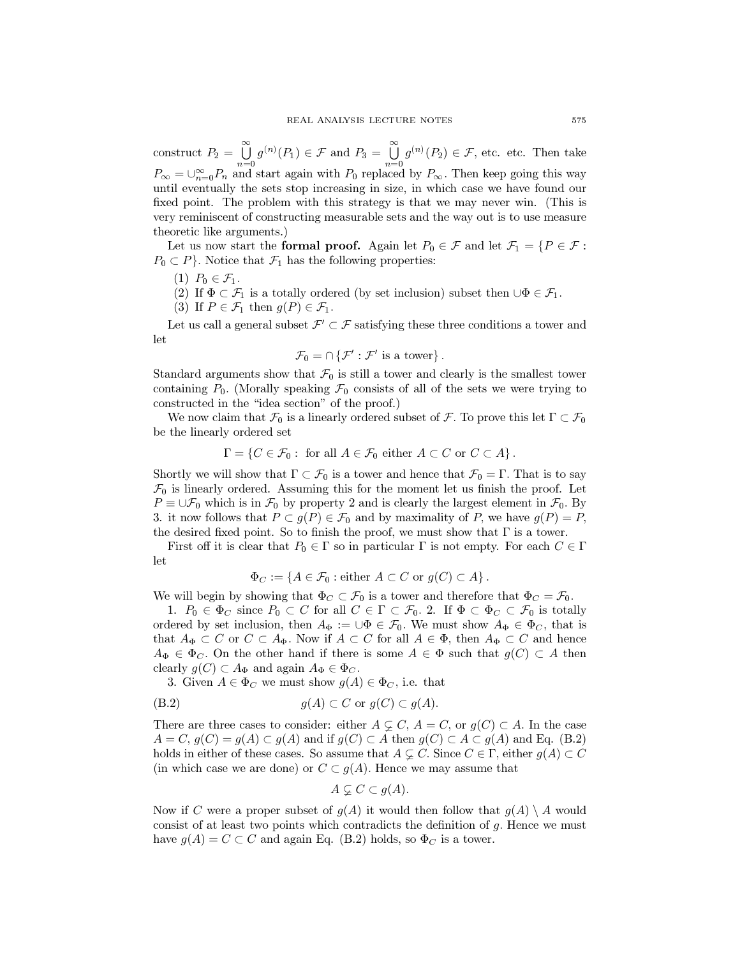construct  $P_2 = \bigcup_{n=0}^{\infty} g^{(n)}(P_1) \in \mathcal{F}$  and  $P_3 = \bigcup_{n=0}^{\infty} g^{(n)}(P_2) \in \mathcal{F}$ , etc. etc. Then take  $P_{\infty} = \bigcup_{n=0}^{\infty} P_n$  and start again with  $P_0$  replaced by  $P_{\infty}$ . Then keep going this way until eventually the sets stop increasing in size, in which case we have found our fixed point. The problem with this strategy is that we may never win. (This is very reminiscent of constructing measurable sets and the way out is to use measure theoretic like arguments.)

Let us now start the formal proof. Again let  $P_0 \in \mathcal{F}$  and let  $\mathcal{F}_1 = \{P \in \mathcal{F}$ :  $P_0 \subset P$ . Notice that  $\mathcal{F}_1$  has the following properties:

- (1)  $P_0 \in \mathcal{F}_1$ .
- (2) If  $\Phi \subset \mathcal{F}_1$  is a totally ordered (by set inclusion) subset then  $\cup \Phi \in \mathcal{F}_1$ .
- (3) If  $P \in \mathcal{F}_1$  then  $g(P) \in \mathcal{F}_1$ .

Let us call a general subset  $\mathcal{F}' \subset \mathcal{F}$  satisfying these three conditions a tower and let

$$
\mathcal{F}_0 = \cap \{ \mathcal{F}' : \mathcal{F}' \text{ is a tower} \} \,.
$$

Standard arguments show that  $\mathcal{F}_0$  is still a tower and clearly is the smallest tower containing  $P_0$ . (Morally speaking  $\mathcal{F}_0$  consists of all of the sets we were trying to constructed in the "idea section" of the proof.)

We now claim that  $\mathcal{F}_0$  is a linearly ordered subset of  $\mathcal{F}$ . To prove this let  $\Gamma \subset \mathcal{F}_0$ be the linearly ordered set

$$
\Gamma = \{ C \in \mathcal{F}_0 : \text{ for all } A \in \mathcal{F}_0 \text{ either } A \subset C \text{ or } C \subset A \}.
$$

Shortly we will show that  $\Gamma \subset \mathcal{F}_0$  is a tower and hence that  $\mathcal{F}_0 = \Gamma$ . That is to say  $\mathcal{F}_0$  is linearly ordered. Assuming this for the moment let us finish the proof. Let  $P \equiv \bigcup \mathcal{F}_0$  which is in  $\mathcal{F}_0$  by property 2 and is clearly the largest element in  $\mathcal{F}_0$ . By 3. it now follows that  $P \subset g(P) \in \mathcal{F}_0$  and by maximality of P, we have  $g(P) = P$ , the desired fixed point. So to finish the proof, we must show that  $\Gamma$  is a tower.

First off it is clear that  $P_0 \in \Gamma$  so in particular  $\Gamma$  is not empty. For each  $C \in \Gamma$ let

$$
\Phi_C := \{ A \in \mathcal{F}_0 : \text{either } A \subset C \text{ or } g(C) \subset A \}.
$$

We will begin by showing that  $\Phi_C \subset \mathcal{F}_0$  is a tower and therefore that  $\Phi_C = \mathcal{F}_0$ .

1.  $P_0 \in \Phi_C$  since  $P_0 \subset C$  for all  $C \in \Gamma \subset \mathcal{F}_0$ . 2. If  $\Phi \subset \Phi_C \subset \mathcal{F}_0$  is totally ordered by set inclusion, then  $A_{\Phi} := \bigcup \Phi \in \mathcal{F}_0$ . We must show  $A_{\Phi} \in \Phi_C$ , that is that  $A_{\Phi} \subset C$  or  $C \subset A_{\Phi}$ . Now if  $A \subset C$  for all  $A \in \Phi$ , then  $A_{\Phi} \subset C$  and hence  $A_{\Phi} \in \Phi_C$ . On the other hand if there is some  $A \in \Phi$  such that  $g(C) \subset A$  then clearly  $g(C) \subset A_{\Phi}$  and again  $A_{\Phi} \in \Phi_C$ .

3. Given  $A \in \Phi_C$  we must show  $g(A) \in \Phi_C$ , i.e. that

$$
(B.2) \t\t g(A) \subset C \t or \t g(C) \subset g(A).
$$

There are three cases to consider: either  $A \subsetneq C$ ,  $A = C$ , or  $g(C) \subset A$ . In the case  $A = C, g(C) = g(A) \subset g(A)$  and if  $g(C) \subset A$  then  $g(C) \subset A \subset g(A)$  and Eq. (B.2) holds in either of these cases. So assume that  $A \subsetneq C$ . Since  $C \in \Gamma$ , either  $g(A) \subset C$ (in which case we are done) or  $C \subset g(A)$ . Hence we may assume that

$$
A \varsubsetneq C \subset g(A).
$$

Now if C were a proper subset of  $g(A)$  it would then follow that  $g(A) \setminus A$  would consist of at least two points which contradicts the definition of  $q$ . Hence we must have  $g(A) = C \subset C$  and again Eq. (B.2) holds, so  $\Phi_C$  is a tower.